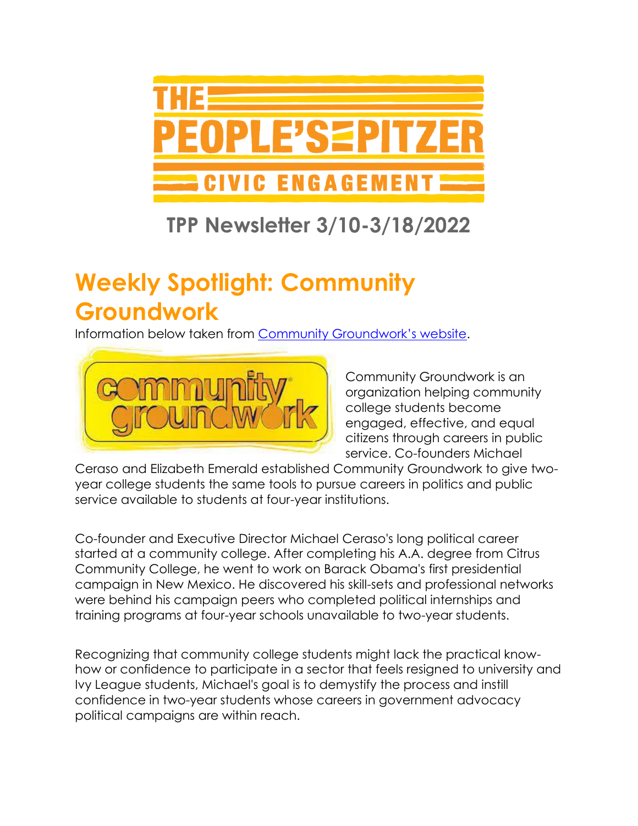

### **TPP Newsletter 3/10-3/18/2022**

# **Weekly Spotlight: Community Groundwork**

Information below taken from [Community Groundwork's website](https://www.communitygroundwork.com/).



Community Groundwork is an organization helping community college students become engaged, effective, and equal citizens through careers in public service. Co-founders Michael

Ceraso and Elizabeth Emerald established Community Groundwork to give twoyear college students the same tools to pursue careers in politics and public service available to students at four-year institutions.

Co-founder and Executive Director Michael Ceraso's long political career started at a community college. After completing his A.A. degree from Citrus Community College, he went to work on Barack Obama's first presidential campaign in New Mexico. He discovered his skill-sets and professional networks were behind his campaign peers who completed political internships and training programs at four-year schools unavailable to two-year students.

Recognizing that community college students might lack the practical knowhow or confidence to participate in a sector that feels resigned to university and Ivy League students, Michael's goal is to demystify the process and instill confidence in two-year students whose careers in government advocacy political campaigns are within reach.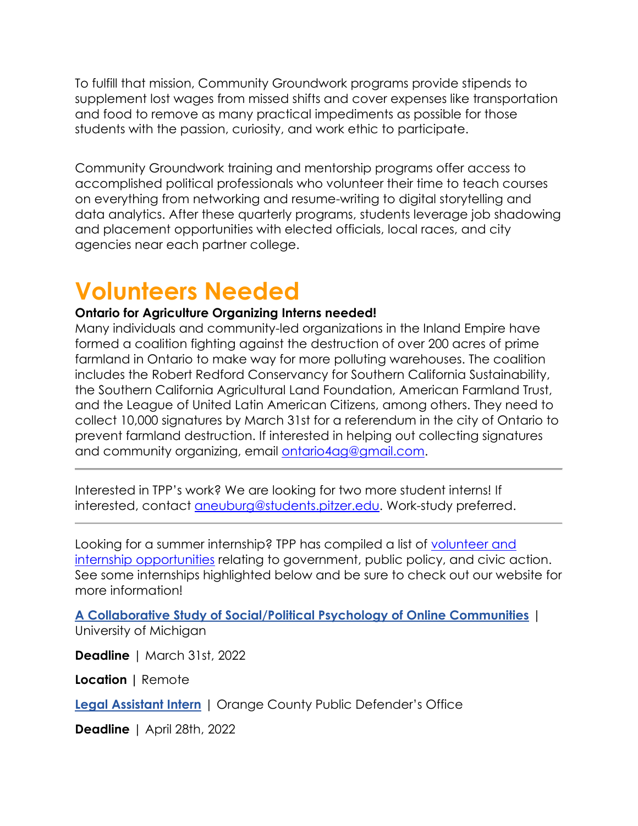To fulfill that mission, Community Groundwork programs provide stipends to supplement lost wages from missed shifts and cover expenses like transportation and food to remove as many practical impediments as possible for those students with the passion, curiosity, and work ethic to participate.

Community Groundwork training and mentorship programs offer access to accomplished political professionals who volunteer their time to teach courses on everything from networking and resume-writing to digital storytelling and data analytics. After these quarterly programs, students leverage job shadowing and placement opportunities with elected officials, local races, and city agencies near each partner college.

### **Volunteers Needed**

#### **Ontario for Agriculture Organizing Interns needed!**

Many individuals and community-led organizations in the Inland Empire have formed a coalition fighting against the destruction of over 200 acres of prime farmland in Ontario to make way for more polluting warehouses. The coalition includes the Robert Redford Conservancy for Southern California Sustainability, the Southern California Agricultural Land Foundation, American Farmland Trust, and the League of United Latin American Citizens, among others. They need to collect 10,000 signatures by March 31st for a referendum in the city of Ontario to prevent farmland destruction. If interested in helping out collecting signatures and community organizing, email [ontario4ag@gmail.com.](mailto:ontario4ag@gmail.com)

Interested in TPP's work? We are looking for two more student interns! If interested, contact [aneuburg@students.pitzer.edu.](mailto:aneuburg@students.pitzer.edu) Work-study preferred.

Looking for a summer internship? TPP has compiled a list of [volunteer and](https://www.pitzer.edu/cec/community-pillars/peoples-pitzer/tpp-volunteer-and-internship-opportunities/)  [internship opportunities](https://www.pitzer.edu/cec/community-pillars/peoples-pitzer/tpp-volunteer-and-internship-opportunities/) relating to government, public policy, and civic action. See some internships highlighted below and be sure to check out our website for more information!

**[A Collaborative Study of Social/Political Psychology of Online Communities](https://app.joinhandshake.com/stu/jobs/5864884?ref=open-in-new-tab&search_id=173c79b3-158f-4253-afbc-7b1b2208b303)** | University of Michigan

**Deadline** | March 31st, 2022

**Location |** Remote

**[Legal Assistant Intern](https://app.joinhandshake.com/stu/jobs/5825601?ref=open-in-new-tab&search_id=17e20f22-b347-4596-ba06-df3357ea79f4)** | Orange County Public Defender's Office

**Deadline** | April 28th, 2022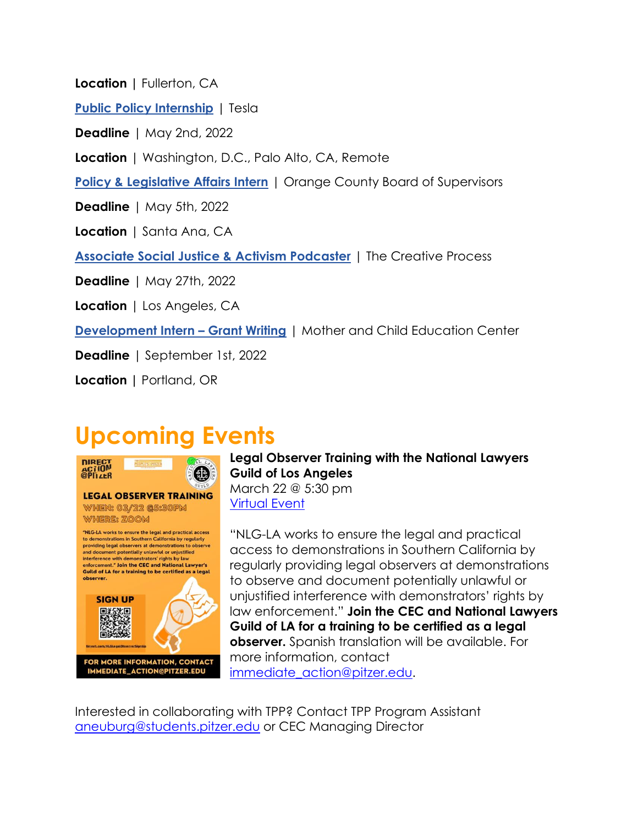**Location |** Fullerton, CA

**[Public Policy Internship](https://app.joinhandshake.com/stu/jobs/5743814?ref=open-in-new-tab&search_id=17e20f22-b347-4596-ba06-df3357ea79f4)** | Tesla

**Deadline** | May 2nd, 2022

**Location** | Washington, D.C., Palo Alto, CA, Remote

**[Policy & Legislative Affairs Intern](https://app.joinhandshake.com/stu/jobs/5423371?ref=open-in-new-tab&search_id=17e20f22-b347-4596-ba06-df3357ea79f4)** | Orange County Board of Supervisors

**Deadline** | May 5th, 2022

**Location** | Santa Ana, CA

**[Associate Social Justice & Activism Podcaster](https://app.joinhandshake.com/stu/jobs/5675834?ref=open-in-new-tab&search_id=17e20f22-b347-4596-ba06-df3357ea79f4)** | The Creative Process

**Deadline** | May 27th, 2022

**Location** | Los Angeles, CA

**[Development Intern](https://app.joinhandshake.com/stu/jobs/5527217?ref=open-in-new-tab&search_id=e18de8f7-cea7-4c4b-99e2-f7f6cbe50a7d) – Grant Writing** | Mother and Child Education Center

**Deadline** | September 1st, 2022

**Location |** Portland, OR

### **Upcoming Events**



**Legal Observer Training with the National Lawyers Guild of Los Angeles** March 22 @ 5:30 pm [Virtual Event](http://tinyurl.com/NLGLegalObserverSignUp)

"NLG-LA works to ensure the legal and practical access to demonstrations in Southern California by regularly providing legal observers at demonstrations to observe and document potentially unlawful or unjustified interference with demonstrators' rights by law enforcement." **Join the CEC and National Lawyers Guild of LA for a training to be certified as a legal observer.** Spanish translation will be available. For more information, contact [immediate\\_action@pitzer.edu.](mailto:immediate_action@pitzer.edu)

Interested in collaborating with TPP? Contact TPP Program Assistant [aneuburg@students.pitzer.edu](mailto:aneuburg@students.pitzer.edu) or CEC Managing Director